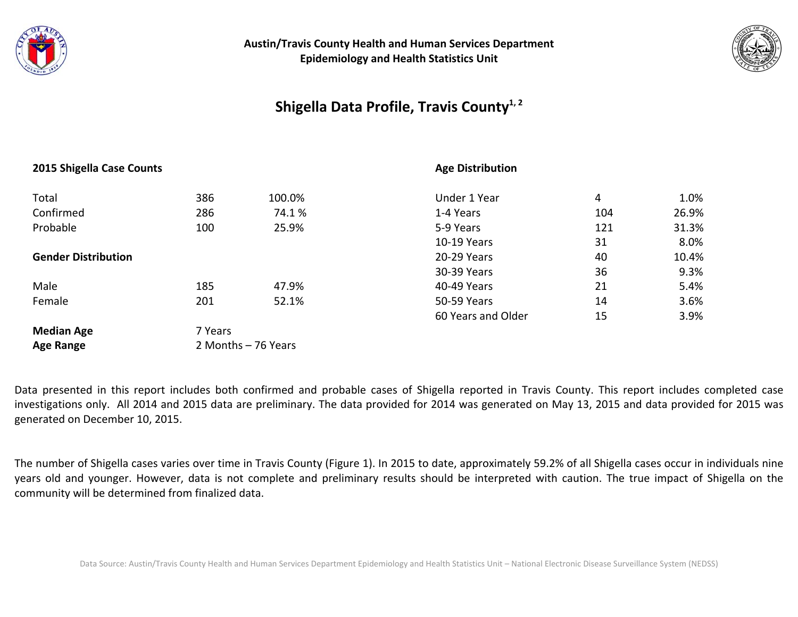



## **Shigella Data Profile, Travis County1, <sup>2</sup>**

#### **2015 Shigella Case Counts**

#### **Age Distribution**

| Total                      | 386                 | 100.0% | Under 1 Year       | 4   | 1.0%  |
|----------------------------|---------------------|--------|--------------------|-----|-------|
| Confirmed                  | 286                 | 74.1%  | 1-4 Years          | 104 | 26.9% |
| Probable                   | 100                 | 25.9%  | 5-9 Years          | 121 | 31.3% |
|                            |                     |        | 10-19 Years        | 31  | 8.0%  |
| <b>Gender Distribution</b> |                     |        | 20-29 Years        | 40  | 10.4% |
|                            |                     |        | 30-39 Years        | 36  | 9.3%  |
| Male                       | 185                 | 47.9%  | 40-49 Years        | 21  | 5.4%  |
| Female                     | 201                 | 52.1%  | 50-59 Years        | 14  | 3.6%  |
|                            |                     |        | 60 Years and Older | 15  | 3.9%  |
| <b>Median Age</b>          | 7 Years             |        |                    |     |       |
| <b>Age Range</b>           | 2 Months - 76 Years |        |                    |     |       |

Data presented in this report includes both confirmed and probable cases of Shigella reported in Travis County. This report includes completed case investigations only. All 2014 and 2015 data are preliminary. The data provided for 2014 was generated on May 13, 2015 and data provided for 2015 was generated on December 10, 2015.

The number of Shigella cases varies over time in Travis County (Figure 1). In 2015 to date, approximately 59.2% of all Shigella cases occur in individuals nine years old and younger. However, data is not complete and preliminary results should be interpreted with caution. The true impact of Shigella on the community will be determined from finalized data.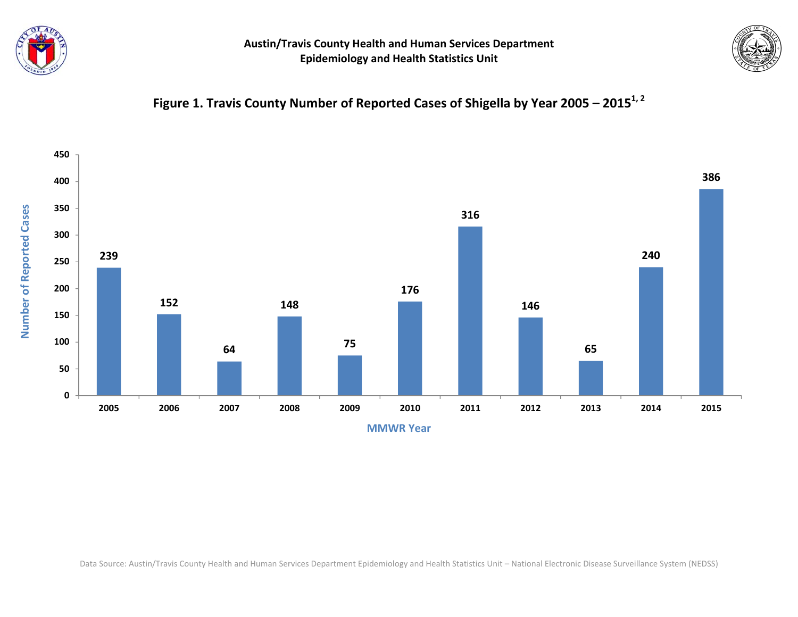



# **Figure 1. Travis County Number of Reported Cases of Shigella by Year <sup>2005</sup> – <sup>2015</sup>1, <sup>2</sup>**



Data Source: Austin/Travis County Health and Human Services Department Epidemiology and Health Statistics Unit – National Electronic Disease Surveillance System (NEDSS)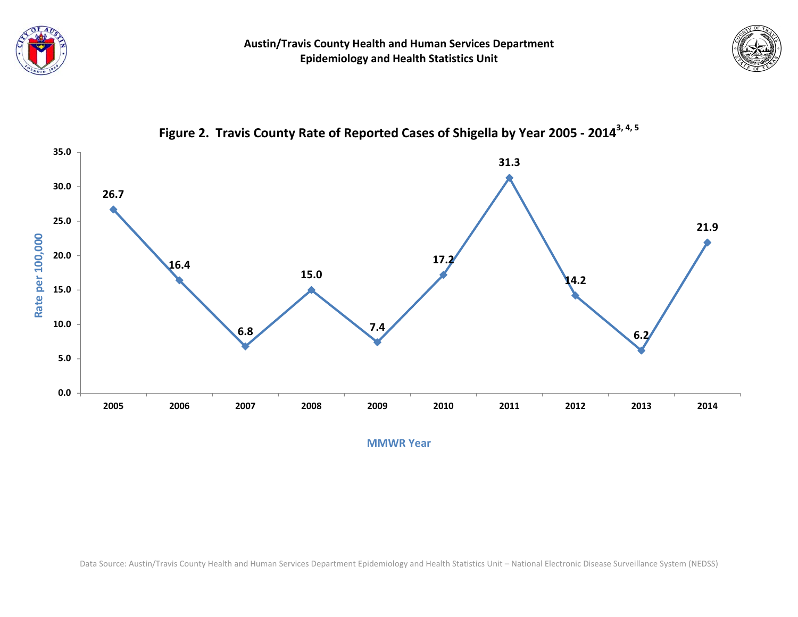





**Figure 2. Travis County Rate of Reported Cases of Shigella by Year <sup>2005</sup> ‐ 20143, 4, <sup>5</sup>**

**MMWR Year**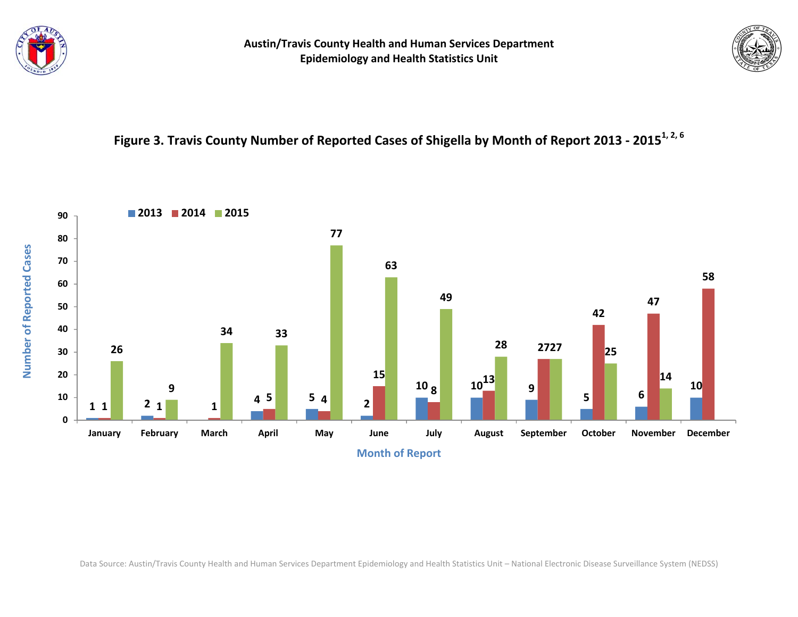



# Figure 3. Travis County Number of Reported Cases of Shigella by Month of Report 2013 - 2015<sup>1, 2, 6</sup>



Data Source: Austin/Travis County Health and Human Services Department Epidemiology and Health Statistics Unit – National Electronic Disease Surveillance System (NEDSS)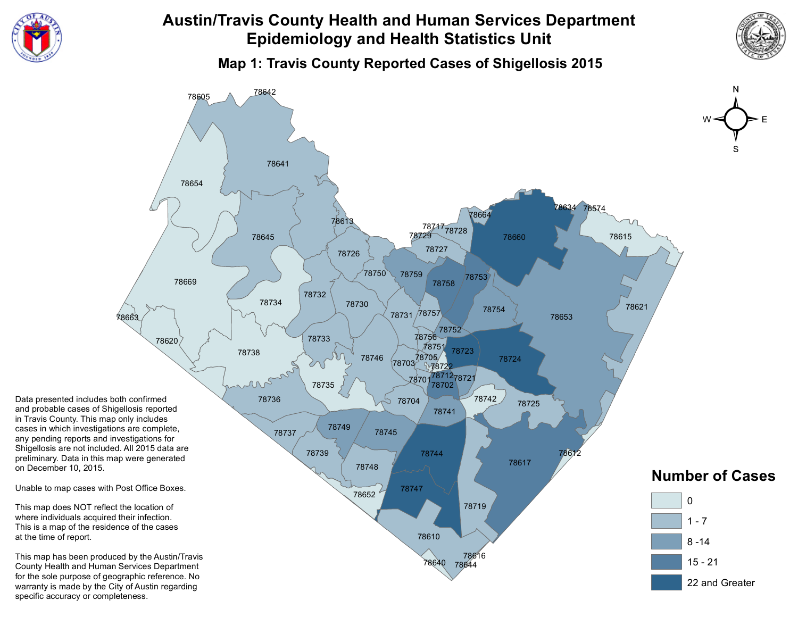

**Map 1: Travis County Reported Cases of Shigellosis 2015**

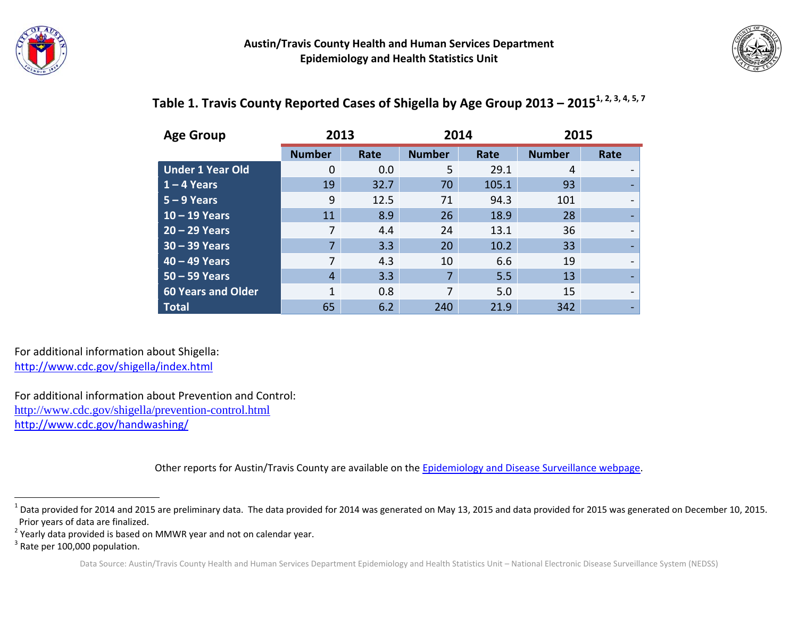



#### **Age Group 2013 2014 2015 Number Rate Number Rate Number Rate Under 1 Year Old**d | 0 0.0 5 29.1 4 -**1 – 4 Years** 19 32.7 70 105.1 93 ‐ **5 – 9 Years** 9 12.5 71 94.3 101 ‐ **10 – 19 Years** 11 8.9 26 18.9 28 ‐ **20 – 29 Years** 7 4.4 24 13.1 36 ‐ **30 – 39 Years** 7 3.3 20 10.2 33 ‐ **40 – 49 Years** 7 4.3 10 6.6 19 ‐ **50 – 59 Years** 4 3.3 7 5.5 13 ‐ **60 Years andd Older** 1 0.8 7 5.0 15 -**Total**65 **65 April 2012** 5 6.2 240 21.9 342 -

### Table 1. Travis County Reported Cases of Shigella by Age Group 2013 – 2015<sup>1, 2, 3, 4, 5, 7</sup>

For additional information about Shigella: http://www.cdc.gov/shigella/index.html

For additional information about Prevention and Control: http://www.cdc.gov/shigella/prevention-control.html http://www.cdc.gov/handwashing/

Other reports for Austin/Travis County are available on the [Epidemiology](http://www.austintexas.gov/department/epidemiology-and-disease-surveillance) and Disease Surveillance webpage.

 $^1$  Data provided for 2014 and 2015 are preliminary data. The data provided for 2014 was generated on May 13, 2015 and data provided for 2015 was generated on December 10, 2015. Prior years of data are finalized.

 $2$  Yearly data provided is based on MMWR year and not on calendar year.

 $3$  Rate per 100,000 population.